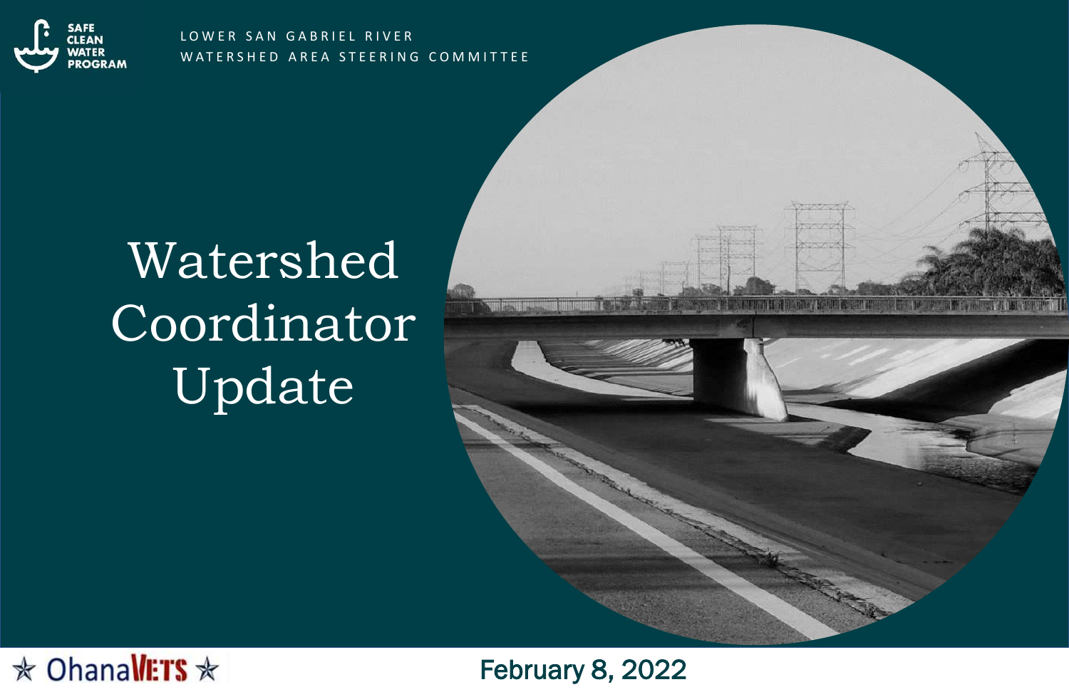

LOWER SAN GABRIEL RIVER WATERSHED AREA STEERING COMMITTEE





# Watershed Coordinator Update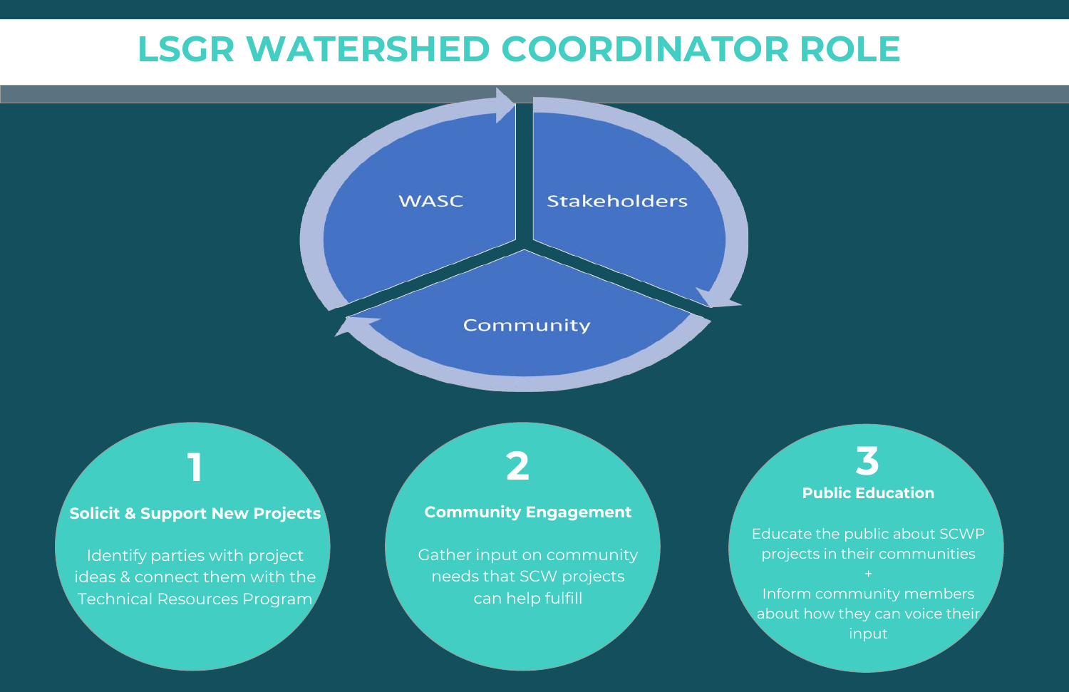## **LSGR WATERSHED COORDINATOR ROLE**

**WASC** 

**Solicit & Support New Projects**

Identify parties with project ideas & connect them with the Technical Resources Program

#### **Community Engagement**

Community

**Stakeholders** 

Gather input on community needs that SCW projects can help fulfill

Educate the public about SCWP projects in their communities

## **Public Education 1 2 3**

Inform community members about how they can voice their input

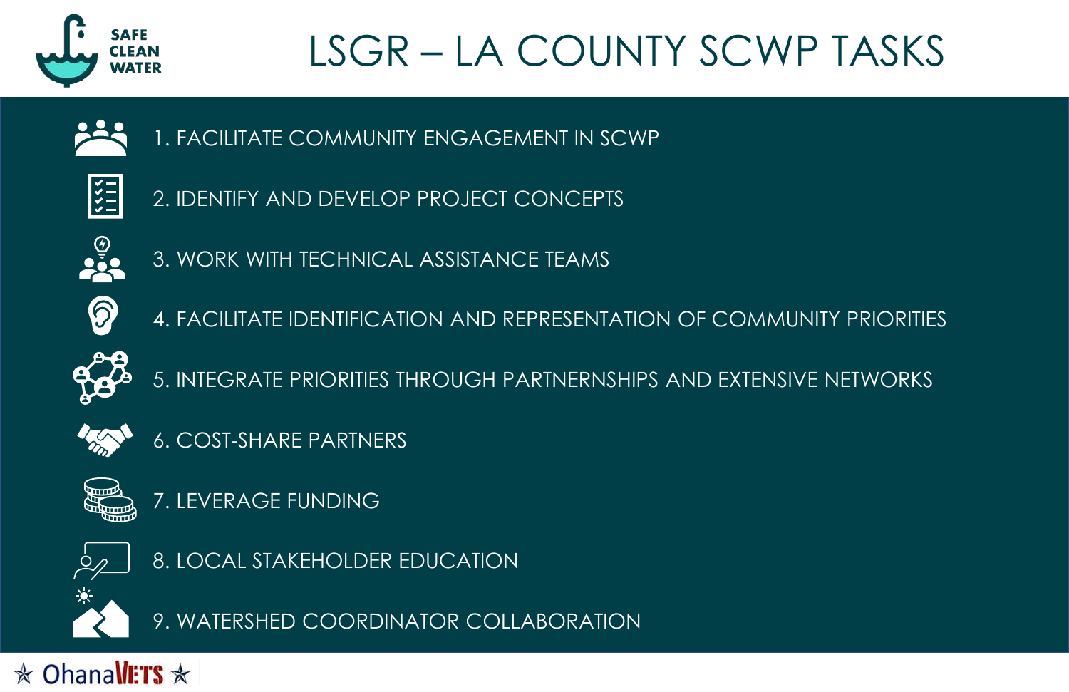

# LSGR – LA COUNTY SCWP TASKS

1. FACILITATE COMMUNITY ENGAGEMENT IN SCWP



2. IDENTIFY AND DEVELOP PROJECT CONCEPTS



3. WORK WITH TECHNICAL ASSISTANCE TEAMS



4. FACILITATE IDENTIFICATION AND REPRESENTATION OF COMMUNITY PRIORITIES



5. INTEGRATE PRIORITIES THROUGH PARTNERNSHIPS AND EXTENSIVE NETWORKS



6. COST-SHARE PARTNERS



7. LEVERAGE FUNDING



8. LOCAL STAKEHOLDER EDUCATION



9. WATERSHED COORDINATOR COLLABORATION

 $\star$  Ohanallers  $\star$ 

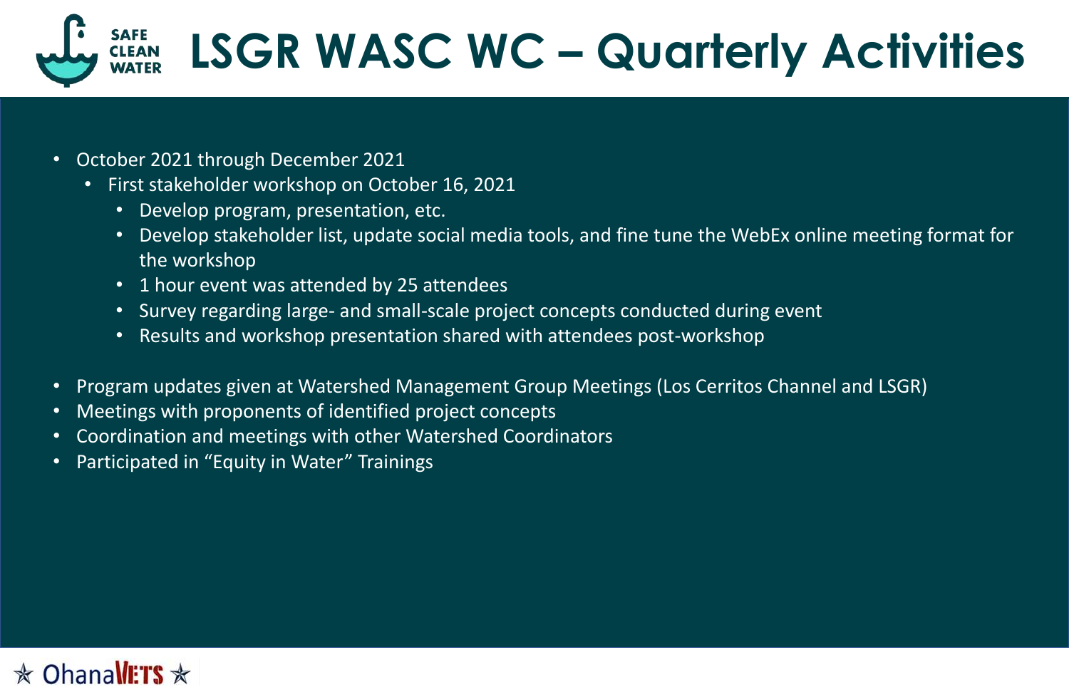- October 2021 through December 2021
	- First stakeholder workshop on October 16, 2021
		- Develop program, presentation, etc.
		- Develop stakeholder list, update social media tools, and fine tune the WebEx online meeting format for the workshop
		- 1 hour event was attended by 25 attendees
		- Survey regarding large- and small-scale project concepts conducted during event
		- Results and workshop presentation shared with attendees post-workshop
- Program updates given at Watershed Management Group Meetings (Los Cerritos Channel and LSGR)
- Meetings with proponents of identified project concepts
- Coordination and meetings with other Watershed Coordinators
- Participated in "Equity in Water" Trainings



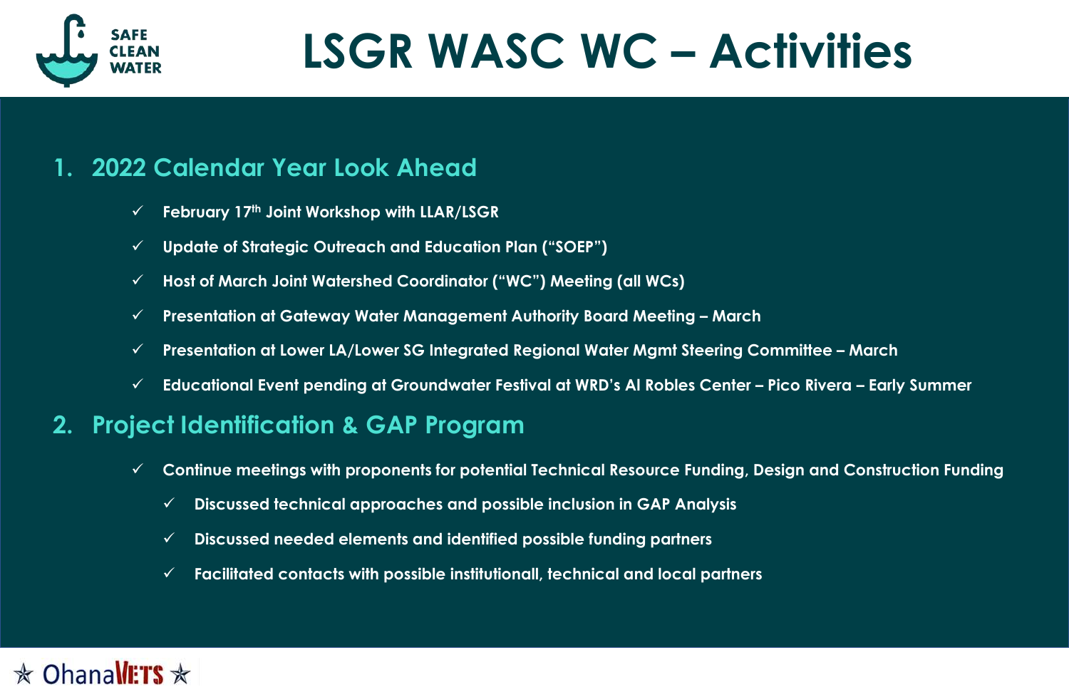### **1. 2022 Calendar Year Look Ahead**

- ✓ **February 17th Joint Workshop with LLAR/LSGR**
- ✓ **Update of Strategic Outreach and Education Plan ("SOEP")**
- ✓ **Host of March Joint Watershed Coordinator ("WC") Meeting (all WCs)**
- ✓ **Presentation at Gateway Water Management Authority Board Meeting – March**
- ✓ **Presentation at Lower LA/Lower SG Integrated Regional Water Mgmt Steering Committee – March**
- ✓ **Educational Event pending at Groundwater Festival at WRD's Al Robles Center – Pico Rivera – Early Summer**

### **2. Project Identification & GAP Program**

- ✓ **Continue meetings with proponents for potential Technical Resource Funding, Design and Construction Funding**
	- ✓ **Discussed technical approaches and possible inclusion in GAP Analysis**
	- ✓ **Discussed needed elements and identified possible funding partners**
	- ✓ **Facilitated contacts with possible institutionall, technical and local partners**

### $\star$  OhanallETS  $\star$





# **LSGR WASC WC – Activities**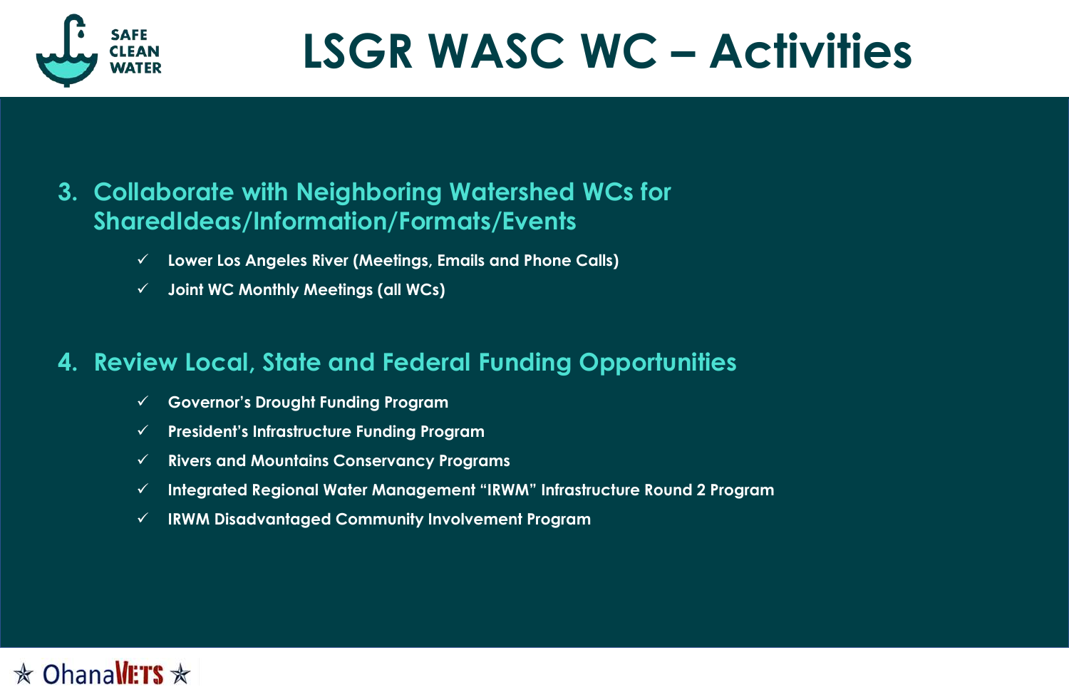### **3. Collaborate with Neighboring Watershed WCs for SharedIdeas/Information/Formats/Events**

- ✓ **Lower Los Angeles River (Meetings, Emails and Phone Calls)**
- ✓ **Joint WC Monthly Meetings (all WCs)**

## **4. Review Local, State and Federal Funding Opportunities**

- ✓ **Governor's Drought Funding Program**
- ✓ **President's Infrastructure Funding Program**
- ✓ **Rivers and Mountains Conservancy Programs**
- ✓ **Integrated Regional Water Management "IRWM" Infrastructure Round 2 Program**
- ✓ **IRWM Disadvantaged Community Involvement Program**







# **LSGR WASC WC – Activities**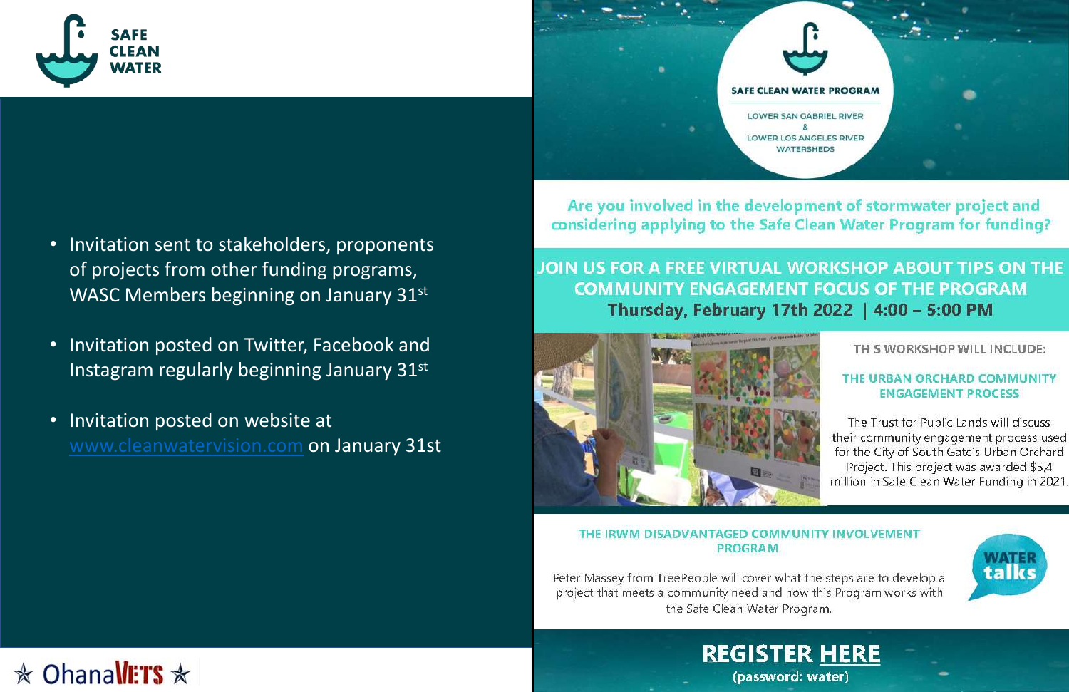

- Invitation sent to stakeholders, proponents of projects from other funding programs, WASC Members beginning on January 31st
- Invitation posted on Twitter, Facebook and Instagram regularly beginning January 31st
- Invitation posted on website at [www.cleanwatervision.com](http://www.cleanwatervision.com/) on January 31st





THE IRWM DISADVANTAGED COMMUNITY INVOLVEMENT **PROGRAM** 

Peter Massey from TreePeople will cover what the steps are to develop a project that meets a community need and how this Program works with the Safe Clean Water Program.



## $\star$  Ohanallers  $\star$

#### Are you involved in the development of stormwater project and considering applying to the Safe Clean Water Program for funding?

### JOIN US FOR A FREE VIRTUAL WORKSHOP ABOUT TIPS ON THE **COMMUNITY ENGAGEMENT FOCUS OF THE PROGRAM** Thursday, February 17th 2022 | 4:00 - 5:00 PM



THIS WORKSHOP WILL INCLUDE:

#### THE URBAN ORCHARD COMMUNITY **ENGAGEMENT PROCESS**

The Trust for Public Lands will discuss their community engagement process used for the City of South Gate's Urban Orchard Project. This project was awarded \$5,4 million in Safe Clean Water Funding in 2021.



### **REGISTER HERE** (password: water)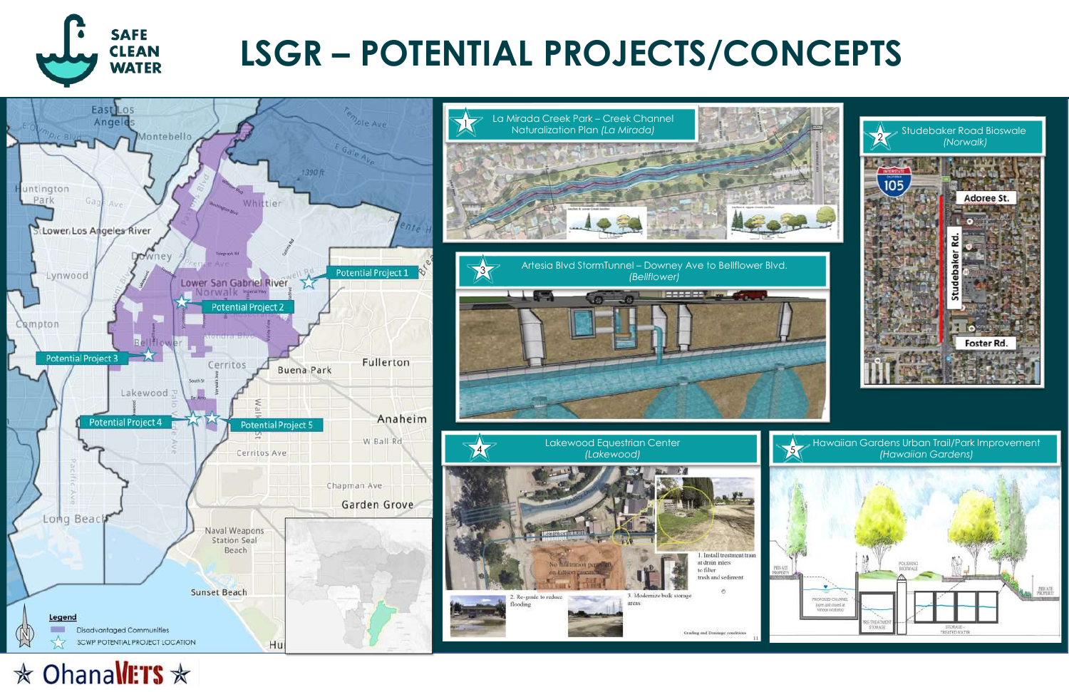

# **LSGR – POTENTIAL PROJECTS/CONCEPTS**





**☆ OhanaWETS ☆** 



**RESERVATION** 

. Install treatment train at drain inlets to filter trash and sediment

Grading and Drainage conditions

#### Hawaiian Gardens Urban Trail/Park Improvement *(Hawaiian Gardens)* <sup>5</sup>